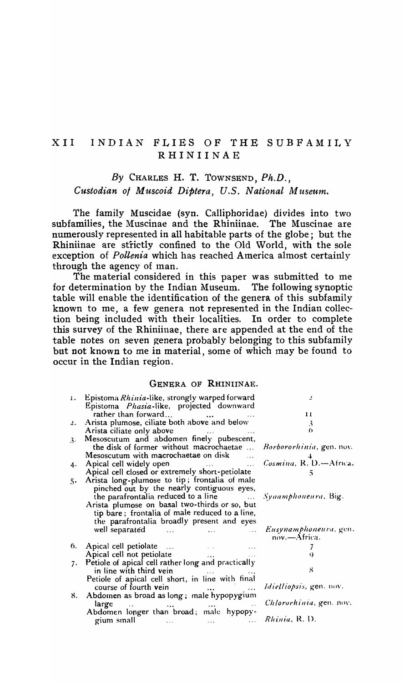# XII INDIAN FLIES OF THE SUBFAMILY RHINIINAE

By CHARLES H. T. TOWNSEND, Ph.D., Custodian of Muscoid Diptera, U.S. National Museum.

The family Muscidae (syn. Calliphoridae) divides into two subfamilies, the Muscinae and the Rhiniinae. The Muscinae are numerously represented in all habitable parts of the globe; but the Rhiniinae are strictly confined to the Old World, with the sole exception of *Pollenia* which has reached America almost certainly through the agency of man.

The material considered in this paper was submitted to me for determination by the Indian Museum. The following synoptic table will enable the identification of the genera of this subfamily known to me, a few genera not represented in the Indian collection being included with their localities. In order to complete this survey of the Rhiniinae, there are appended at the end of the table notes on seven genera probably belonging to this subfamily but not known to me in material, some of which may be found to occur in the Indian region.

### GENERA OF RHINIINAE.

| Ι. | Epistoma Rhinia-like, strongly warped forward<br>Epistoma Phasia-like, projected downward                                                          | 2<br>11                 |
|----|----------------------------------------------------------------------------------------------------------------------------------------------------|-------------------------|
| 2. | Arista plumose, ciliate both above and below                                                                                                       | 3                       |
|    | Arista ciliate only above<br>the contract of the contract of the contract of the contract of the contract of                                       | $\mathbf{\Omega}$       |
|    | Mesoscutum and abdomen finely pubescent,                                                                                                           |                         |
| 3. |                                                                                                                                                    |                         |
|    | the disk of former without macrochaetae  Borbororhinia, gen. nov.                                                                                  |                         |
|    | Mesoscutum with macrochaetae on disk                                                                                                               | Cosmina, R. D.-Africa.  |
| 4. | Apical cell widely open<br>$\mathcal{L}_{\text{max}}$ and $\mathcal{L}_{\text{max}}$ and $\mathcal{L}_{\text{max}}$ and $\mathcal{L}_{\text{max}}$ |                         |
|    | Apical cell closed or extremely short-petiolate                                                                                                    | 5Ï                      |
| 5. | Arista long-plumose to tip; frontalia of male                                                                                                      |                         |
|    | pinched out by the nearly contiguous eyes,                                                                                                         |                         |
|    | the parafrontalia reduced to a line $\ldots$                                                                                                       | Synamphoneura, Big.     |
|    | Arista plumose on basal two-thirds or so, but                                                                                                      |                         |
|    | tip bare; frontalia of male reduced to a line,                                                                                                     |                         |
|    | the parafrontalia broadly present and eyes                                                                                                         |                         |
|    | well separated     Eusynamphoneura, gen.                                                                                                           |                         |
|    |                                                                                                                                                    | nov.-Africa.            |
| 6. | Apical cell petiolate                                                                                                                              |                         |
|    |                                                                                                                                                    |                         |
|    | Apical cell not petiolate                                                                                                                          | Q                       |
| 7. | Petiole of apical cell rather long and practically                                                                                                 |                         |
|    | in line with third vein<br>$\cdots$                                                                                                                | $\mathbf{s}$            |
|    | Petiole of apical cell short, in line with final                                                                                                   |                         |
|    | course of fourth vein<br>$\mathcal{L}_{\mathcal{A}}$ . The contract of $\mathcal{A}$                                                               | Idielliopsis, gen. nov. |
|    | 8. Abdomen as broad as long; male hypopygium                                                                                                       |                         |
|    | large<br><b>Address to the Community</b>                                                                                                           | Chlororhinia, gen. nov. |
|    | Abdomen longer than broad; male hypopy-                                                                                                            |                         |
|    | gium small<br>a a con                                                                                                                              | Rhinia, R. D.           |
|    |                                                                                                                                                    |                         |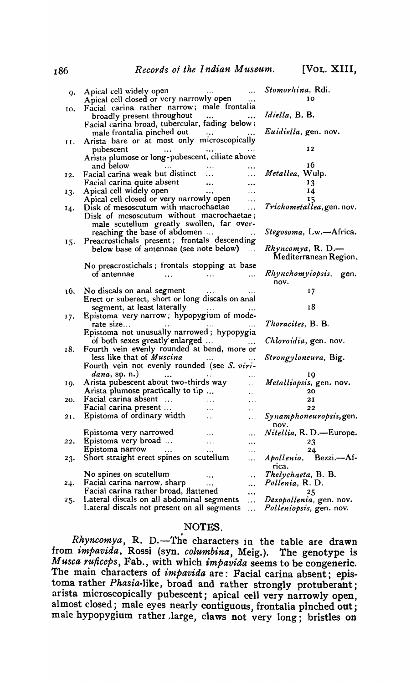| 9.  | Apical cell widely open                                                                                    | Stomorhina, Rdi.                                   |
|-----|------------------------------------------------------------------------------------------------------------|----------------------------------------------------|
|     | Apical cell closed or very narrowly open                                                                   | 10                                                 |
| 10. | Facial carina rather narrow; male frontalia                                                                |                                                    |
|     | broadly present throughout                                                                                 | Idiella, B. B.                                     |
|     | Facial carina broad, tubercular, fading below;                                                             |                                                    |
|     | male frontalia pinched out                                                                                 | Euidiella, gen. nov.                               |
| 11. | Arista bare or at most only microscopically                                                                |                                                    |
|     | pubescent                                                                                                  | 12                                                 |
|     | Arista plumose or long-pubescent, ciliate above                                                            |                                                    |
|     | and below                                                                                                  | 16                                                 |
| 12. | Facial carina weak but distinct<br>$\dddot{\phantom{0}}$<br>$\cdots$<br>Facial carina quite absent         | Metallea, Wulp.                                    |
|     | $\ddotsc$<br><br>Apical cell widely open                                                                   | 13<br>14                                           |
| 13. | $\ddotsc$<br>$\cdots$<br>Apical cell closed or very narrowly open<br>.                                     | 15                                                 |
| 14. | Disk of mesoscutum with macrochaetae<br>$\ddotsc$                                                          | Trichometallea, gen. nov.                          |
|     | Disk of mesoscutum without macrochaetae;                                                                   |                                                    |
|     | male scutellum greatly swollen, far over-                                                                  |                                                    |
|     | reaching the base of abdomen                                                                               | Stegosoma, Lw.-Africa.                             |
| 15. | Preacrostichals present; frontals descending                                                               |                                                    |
|     | below base of antennae (see note below)<br>$\ddotsc$                                                       | Rhyncomya, R. D.-                                  |
|     |                                                                                                            | Mediterranean Region.                              |
|     | No preacrostichals; frontals stopping at base                                                              |                                                    |
|     | of antennae<br>$\ddotsc$                                                                                   | Rhynchomyiopsis, gen.                              |
|     |                                                                                                            | nov.                                               |
| 16. | No discals on anal segment<br>Erect or suberect, short or long discals on anal                             | 17                                                 |
|     |                                                                                                            |                                                    |
|     |                                                                                                            |                                                    |
|     | segment, at least laterally                                                                                | 18                                                 |
| 17. | Epistoma very narrow; hypopygium of mode-                                                                  |                                                    |
|     | rate size                                                                                                  | Thoracites, B. B.                                  |
|     | Epistoma not unusually narrowed; hypopygia<br>of both sexes greatly enlarged                               | Chloroidia, gen. nov.                              |
| 18. | Fourth vein evenly rounded at bend, more or                                                                |                                                    |
|     | less like that of Muscina<br>$\cdots$                                                                      | Strongyloneura, Big.                               |
|     | Fourth vein not evenly rounded (see S. viri-                                                               |                                                    |
|     | $dana$ , sp. n.)<br>$\cdots$                                                                               | 19                                                 |
| 19. | Arista pubescent about two-thirds way<br>.                                                                 | Metalliopsis, gen. nov.                            |
|     | Arista plumose practically to tip                                                                          | 20                                                 |
| 20. | Facial carina absent<br>$\ldots$                                                                           | 21                                                 |
|     | Facial carina present<br>.                                                                                 | 22                                                 |
| 21. | Epistoma of ordinary width<br>$\ddotsc$<br>$\cdots$                                                        | Synamphoneuropsis, gen.<br>nov.                    |
|     |                                                                                                            |                                                    |
| 22. | Epistoma very narrowed                                                                                     | <i>Nitellia</i> , R. D.—Europe.                    |
|     | Epistoma very broad<br>Epistoma narrow                                                                     | 23<br>24                                           |
| 23. | Short straight erect spines on scutellum<br>.                                                              | Apollenia, Bezzi.-Af-                              |
|     |                                                                                                            | rica.                                              |
|     | No spines on scutellum<br>$\cdots$                                                                         | Thelychaeta, B. B.                                 |
| 24. | Facial carina narrow, sharp<br>                                                                            | Pollenia, R. D.                                    |
|     | Facial carina rather broad, flattened<br>$\cdots$                                                          | 25                                                 |
| 25. | Lateral discals on all abdominal segments<br>$\ddotsc$<br>Lateral discals not present on all segments<br>. | Dexopollenia, gen. nov.<br>Polleniopsis, gen. nov. |

# NOTES.

*Rhyncomya,* R. D.-The characters in the table are drawn from *impavida,* Rossi (syn. *columbina,* Meig.). The genotype is *Musca 'fuficeps,* Fab., with which *impavida* seems to be congeneric. The main characters of *impavida* are: Facial carina absent; epistoma rather *Phasia-like,* broad and rather strongly protuberant; arista microscopically pubescent; apical cell very narrowly open, almost closed; male eyes nearly contiguous, frontalia pinched out; male hypopyglum rather ,large, claws not very long; bristles on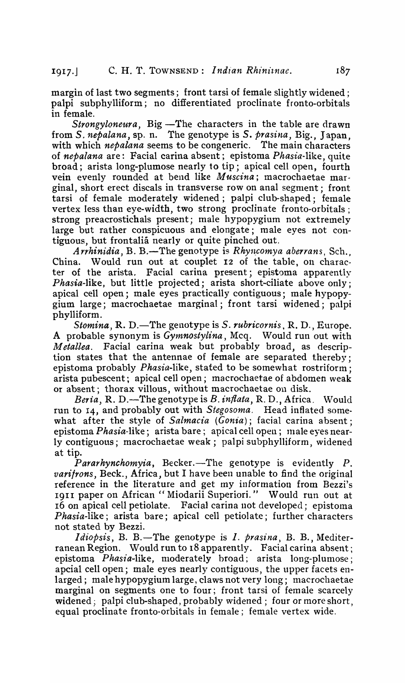$IQI7.$ 

margin of last two segments; front tarsi of female slightly widened; palpi subphylliform; no differentiated proclinate fronto-orbitals in female.

*Strongyloneura*, Big -The characters in the table are drawn from S. *nepalana,* sp. n. The genotype is S. *prasina,* Big., Japan, with which *nepalana* seems to be congeneric. The main characters of *nepalana* are: Facial carina absent; epistoma *Ph asia-like* , quite broad; arista long-plumose nearly to tip; apical cell open, fourth vein evenly rounded at bend like *Muscina*; macrochaetae marginal, short erect discals in transverse row on anal segment; front tarsi of female moderately widened; palpi club-shaped; female vertex less than eye-width, two strong proclinate fronto-orbitals; strong preacrostichals present; male hypopygium not extremely large but rather conspicuous and elongate; male eyes not contiguous, but frontalia nearly or quite pinched out.

Arrhinidia, B. B.-The genotype is Rhyncomya aberrans, Sch., China. Would run out at couplet 12 of the table, on character of the arista. Facial carina present; epistoma apparently *Ph asia-like* , but little projected; arista short-ciliate above only; apical cell open; male eyes practically contiguous; male hypopygium large; macrochaetae marginal; front tarsi widened; palpi phylliform.

*Stomina,* R. D.-The genotype is S. *rubricornis.* R. D., Europe. A probable synonym is *Gymnostylina*, Mcq. Would run out with *M etallea.* Facial carina weak but probably broad, as description states that the antennae of female are separated thereby; epistoma probably *Phasia-like,* stated to be somewhat rostriform; arista pubescent; apical cell open; macrochaetae of abdomen weak or absent; thorax villous, without macrochaetae on disk.

*Beria, R. D.*—The genotype is *B. inflata, R. D., Africa.* Would run to 14, and probably out with *Stegosoma.* Head inflated somewhat after the style of *Salmacia (Gonia);* facial carina absent; epistoma *Phasia-like;* arista bare; apical cell open; Jnale eyes nearly contiguous; macrochaetae weak; palpi subphylliform, widened at tip.

Pararhynchomyia, Becker.-The genotype is evidently P. varifrons, Beck., Africa, but I have been unable to find the original reference in the literature and get my information from Bezzi's 1911 paper on African" Miodarii Superiori." Would run out at 16 on apical cell petiolate, Facial carina not developed; epistoma *Phasia-like;* arista bare; apical cell petiolate; further characters not stated by Bezzi.

*Idiopsis*, B. B.-The genotype is *I. prasina*, B. B., Mediterranean Region. Would run to 18 apparently. Facial carina absent; epistoma *Phasia-like*, moderately broad; arista long-plumose; apcial cell open; male eyes nearly contiguous, the upper facets enlarged; male hypopygium large, claws not very long; macrochaetae marginal on segments one to four; front tarsi of female scarcely widened; palpi club-shaped, probably widened; four or more short, equal proclinate fronto-orbitals in female; female vertex wide.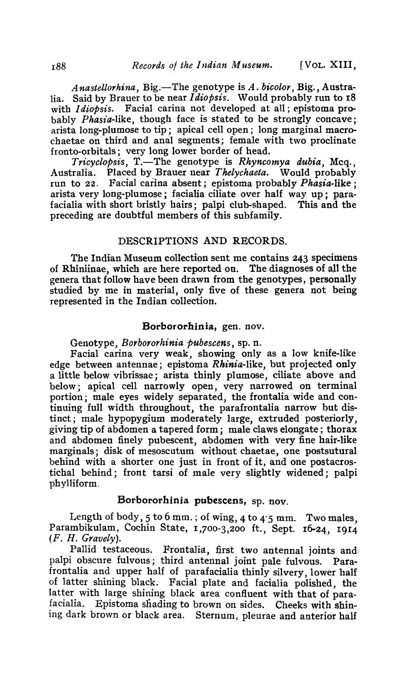Anastellorhina, Big.-The genotype is A. bicolor, Big., Australia. Said by Brauer to be near *I diopsis*. Would probably run to 18 with *I diopsis*. Facial carina not developed at all; epistoma probably *Phasia-like,* though face is stated to be strongly concave; arista long-plumose to tip; apical cell open; long marginal macrochaetae on third and anal segments; female with two proclinate fronto-orbitals; very long lower border of head.

*Tricyclopsis,* T.-The genotype is *Rhyncomya dubia,* Mcq., Australia. Placed by Brauer near *Thelychaeta*. Would probably run to 22. Facial carina absent; epistoma probably *Phasia-like ;*  arista very long-plumose; facialia ciliate over half way up; parafacialia with short bristly hairs; palpi club-shaped. This and the preceding are doubtful members of this subfamily.

# DESCRIPTIONS AND RECORDS.

The Indian Museum collection sent me contains 243 specimens of Rhiniinae, which are here reported on. The diagnoses of all the genera that follow have been drawn from the genotypes, personally studied by me in material, only five of these genera not being represented in the Indian collection.

#### Borbororhinia, gen. nov.

Genotype, *Borbororhinia pubescens*, sp. n.

Facial carina very weak, showing only as a low knife-like edge between antennae; epistoma *Rhinia-like,* but projected only a little below vibrissae; arista thinly plumose, ciliate above and below; apical cell narrowly open, very narrowed on terminal portion; male eyes widely separated, the frontalia wide and continuing full width throughout, the parafrontalia narrow but distinct; male bypopygium moderately large, extruded posteriorly, giving tip of abdomen a tapered form; male claws elongate; thorax and abdomen finely pubescent, abdomen with very fine hair-like marginals; disk of mesoscutum without chaetae, one postsutural behind with a shorter one just in front of it, and one postacrostichal behind; front tarsi of male very slightly widened; palpi phylliform.

### Borbororhinia pubescens, sp. nov.

Length of body,  $5$  to  $6$  mm.; of wing,  $4$  to  $4.5$  mm. Two males, Parambikulam, Cochin State, 1,700-3,200 ft., Sept. 16-24, 1914 (F. H. *Gravely).* 

Pallid testaceous. Frontalia, first two antennal joints and palpi obscure fulvous; third antennal joint pale fulvous. Parafrontalia and upper half of parafacialia thinly silvery, lower half of latter shining black. Facial plate and facialia polished, the latter with large shining black area confluent with that of parafacialia. Epistoma shading to brown on sides. Cheeks with shining dark brown or black area. Sternum, pleurae and anterior half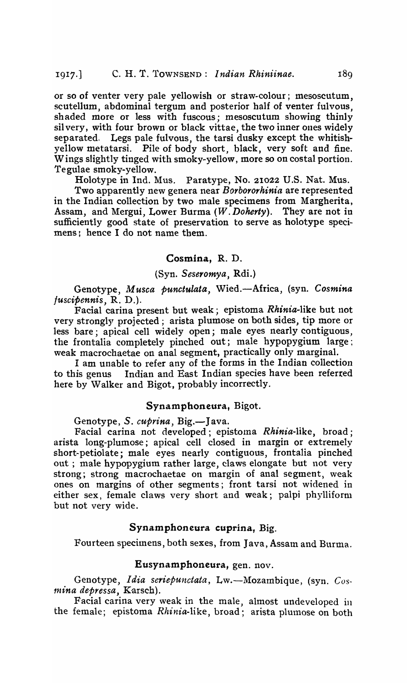or so of venter very pale yellowish or straw·colour; mesoscutum, scutellum, abdominal tergum and posterior half of venter fulvous. shaded more or less with fuscous; mesoscutum showing thinly sil very, with four brown or black vittae, the two inner ones widely separated. Legs pale fulvous, the tarsi dusky except the whitishyellow metatarsi. Pile of body short, black, very soft and fine. Wings slightly tinged with smoky-yellow, more so on costal portion. Tegulae smoky-yellow.

Holotype in Ind. Mus. Paratype, No. 21022 U.S. Nat. Mus.

Two apparently new genera near *Borbororhinia* are represented in the Indian collection by two male specimens from Margherita, Assam, and Mergui, Lower Burma *(W.Doherty).* They are not in sufficiently good state of preservation to serve as holotype specimens; hence I do not name them.

# Cosmina, R. D.

#### (Syn. *Seseromya,* Rdi.)

Genotype, Musca punctulata, Wied .- Africa, (syn. Cosmina *juscipennis,* R. D.).

Facial carina present but weak; epistoma *Rhinia-like* but not very strongly projected; arista plumose on both sides, tip more or less bare; apical cell widely open; male eyes nearly contiguous, the frontalia completely pinched out; male hypopygium large; weak macrochaetae on anal segment, practically only margina1.

I am unable to refer any of the forms in the Indian collection to this genus Indian and East Indian species have been referred here by Walker and Bigot, probably incorrectly.

#### Synamphoneura, Bigot.

Genotype, S. *cuprina*, Big.-Java.

Facial carina not developed; epistoma *Rhinia-like*, broad; arista long-plumose; apical cell closed in margin or extremely short-petiolate; male eyes nearly contiguous, frontalia pinched out ; male hypopygium rather large, claws elongate but not very strong; strong macrochaetae on margin of anal segment, \veak ones on margins of other segments; front tarsi not widened in either sex, female claws very short and weak; palpi phylliform but not very wide.

#### Synamphoneura cuprina, Big.

Fourteen specimens, both sexes, from Java, Assam and Burma.

# Eusynamphoneura, gen. nov.

Genotype, *Idia seriepunctata,* tw.-Mozambique, (syn. *Cosmina depressa*, Karsch).

Facial carina very weak in the male, almost undeveloped in the female; epistoma *Rhinia*-like, broad; arista plumose on both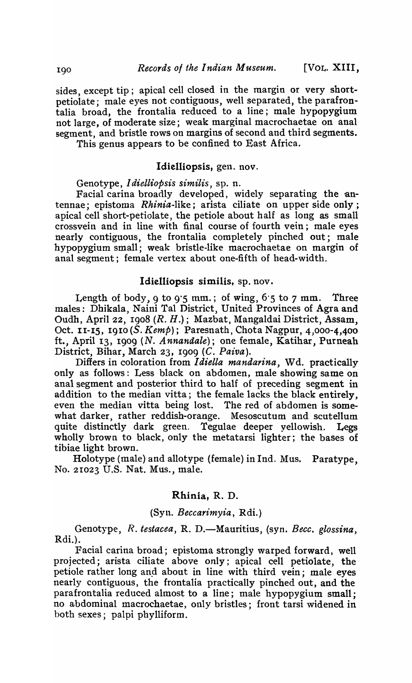sides, except tip; apical cell closed in the margin or very shortpetiolate; male eyes not contiguous, well separated, the parafrontalia broad, the frontalia reduced to a line; male hypopygium not large, of moderate size; weak marginal macrochaetae on anal segment, and bristle rows on margins of second and third segments.

This genus appears to be confined to East Africa.

#### Idielliopsis, gen. nov.

Genotype, I *dielliopsis similis,* sp. n.

Facial carina broadly developed, widely separating the antennae; epistoma *Rhinia-like;* arista ciliate on upper side only; apical cell short-petiolate, the petiole about half as long as small crossvein and in line with final course of fourth vein; male eyes nearly contiguous, the frontalia completely pinched out; male hypopygium small; weak bristle-like macrochaetae on margin of anal segment; female vertex about one-fifth of head-width.

#### Idielliopsis similis, sp. nov.

Length of body,  $9 \text{ to } 9.5 \text{ mm}$ ; of wing,  $6.5 \text{ to } 7 \text{ mm}$ . Three males: Dhikala, Naini Tal District, United Provinces of Agra and Oudh, April 22, 1908 (R. H.); Mazbat, Mangaldai District, Assam, Oct. II-IS, 1910 (5. *Kemp);* Paresnath, Chota Nagpur, 4)000-4,400 ft., April 13, 1909 (N. Annandale); one female, Katihar, Purneah District, Bihar, March 23, 1909 (C. Paiva).

Differs in coloration from *I diella mandarina,* W d. practically only as follows: Less black on abdomen, male showing same on anal segment and posterior third to half of preceding segment in addition to the median vitta; the female lacks the black entirely, even the median vitta being lost. The red of abdomen is somewhat darker, rather reddish-orange. Mesoscutum and scutellum quite distinctly dark green. Tegulae deeper yellowish. Legs wholly brown to black, only the metatarsi lighter; the bases of tibiae light brown.

Holotype (male) and allotype (female) in Ind. Mus. Paratype, No. 2I023 U.S. Nat. Mus., male.

# Rhinia, R. D.

#### (Syn. *Beccarimyia,* Rdi.)

Genotype, *R. testacea,* R. D.-Mauritius, (syn. *Beee. glossina,*  Rdi.).

Facial carina broad; episloma strongly warped forward, well projected; arista ciliate above only; apical cell petiolate, the petiole rather long and about in line with third vein; male eyes nearly contiguous, the frontalia practically pinched out, and the parafrontalia reduced almost to a line; male hypopygium small; no abdominal macrochaetae, only bristles; front tarsi widened in both sexes; palpi phylliform.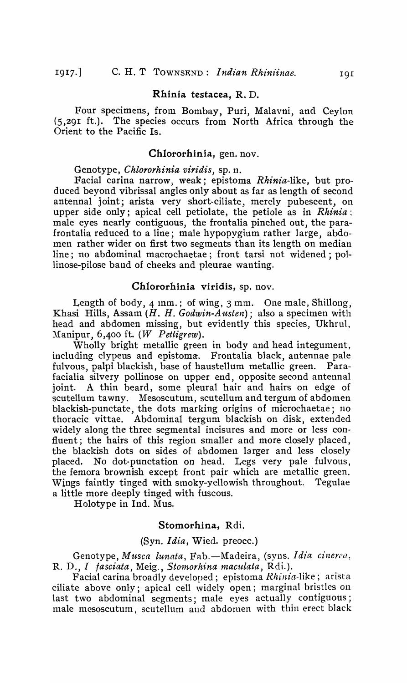# Rhinia testacea, R. D.

Four specimens, from Bombay, Puri, Malavni, and Ceylon (5,29I ft.). The species occurs from North Africa through the Orient to the Pacific Is.

### Chlororhinia, gen. nov.

Genotype, *Chlororhinia viridis*, sp. n.

Facial carina narrow, weak; epistoma *Rhinia-like*, but produced beyond vibrissal angles only about as far as length of second antennal joint; arista very short-ciliate, merely pubescent, on upper side only; apical cell petiolate, the petiole as in *Rhinia;*  male eyes nearly contiguous, the frontalia pinched out, the parafrontalia reduced to a line; male hypopygium rather large, abdomen rather wider on first two segments than its length on median line; no abdominal macrochaetae; front tarsi not widened; pollinose-pilose band of cheeks and pleurae wanting.

### Chlororhinia viridis, sp. nov.

Length of body, 4 1nm.; of wing, 3 mm. One male, Shillong, Khasi Hills, Assam (*H. H. Godwin-Austen*); also a specimen with head and abdomen missing, but evidently this species, Ukhrul, Manipur, 6,400 ft. (W *Pettigrew*).

Wholly bright metallic green in body and head integument, including clypeus and epistoma. Frontalia black, antennae pale fulvous, palpi blackish, base of haustellum metallic green. Parafacialia silvery pollinose on. upper end, opposite second antennal joint. A thin beard, some pleural hair and hairs on edge of scutellum tawny. Mesoscutum, scutellum and tergum of abdomen blackish-punctate, the dots marking origins of microchaetae; no thoracic vittae. Abdominal tergum blackish on disk, extended widely along the three segmental incisures and more or less confluent; the hairs of this region smaller and more closely placed, the blackish dots on sides of abdomen larger and less closely placed. No dot-punctation on head. Legs very pale fulvous, the femora brownish except front pair which are metallic green. Wings faintly tinged with smoky-yellowish throughout. Tegulae a little more deeply tinged with fuscous.

Holotype in Ind. Mus.

### Stomorhina, Rdi.

# (Syn. *Idia,* Wied. preocc.)

Genotype, Musca lunata, Fab.-Madeira, (syns. *Idia cinerca,* R. D., I *fasciata*, Meig., *Stomorhina maculata*, Rdi.).

Facial carina broadly developed; epistorna *Rhinia-like;* arista ciliate above only; apical cell widely open; marginal bristles on last two abdominal segments; male eyes actually contiguous; male mesoscutum, scutellum and abdomen with thin erect black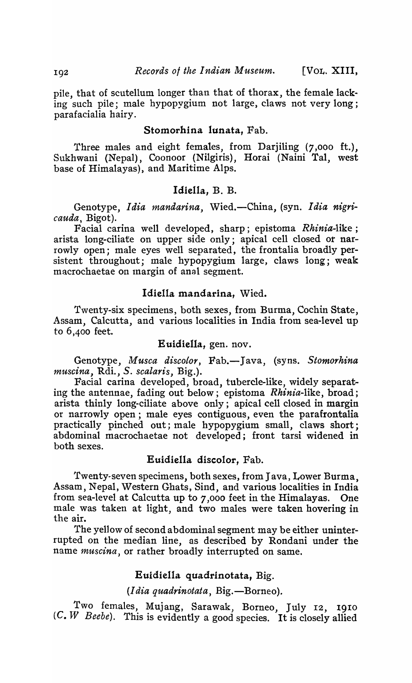pile, that of scutellum longer than that of thorax, the female lacking such pile; male hypopygium not large, claws not very long; parafacialia hairy.

# Stomorhina lunata, Fab.

Three males and eight females, from Darjiling (7,000 ft.), Sukhwani (Nepal) Coonoor (Nilgiris), Horai (Naini Tal, west base of Himalayas), and Maritime Alps.

# Idiella, B. B.

Genotype, Idia mandarina, Wied.-China, (syn. Idia nigri*cauda,* Bigot).

Facial carina well developed, sharp; epistoma *Rhinia-like;*  arista long-ciliate on upper side only; apical cell closed or narrowly open; male eyes well separated, the frontalia broadly persistent throughout; male hypopygium large, claws long; weak macrochaetae on margin of anal segment.

### Idiella mandarina. Wied.

Twenty-six specimens, both sexes, from Burma, Cochin State, Assam, Calcutta, and various localities in India from sea-level up to 6,400 feet.

# Euidiella, gen. nov.

Genotype, Musca discolor, Fab.-Java, (syns. Stomorhina *muscina,* Rdi., S. *scalaris,* Big.).

Facial carina developed, broad, tubercle-like, widely separating the antennae, fading out below; epistoma *Rhinia-like,* broad; arista thinly long-ciliate above only; apical cell closed in margin or narrowly open; male eyes contiguous, even the parafrontalia practically pinched out; male hypopygium small, claws short; abdominal macrochaetae not developed; front tarsi widened in both sexes.

# Euidiella discolor, Fab.

Twenty-seven specimens, both sexes, from Java, Lower Burma, Assam, Nepal, Western Ghats, Sind, and various localities in India from sea-level at Calcutta up to 7,000 feet in the Himalayas. One male was taken at light, and two males were taken hovering in the air.

The yellow of second abdominal segment may be either uninterrupted on the median line, as described by Rondani under the name *muscina,* or rather broadly interrupted on same.

# Euidiella quadrinotata, Big.

# (1 *dia quadrinotata,* Big.-Borneo).

Two females, Mujang, Sarawak, Borneo, July I2, 19IO (C. W *Beebe).* This is evidently a good species. It is closely allied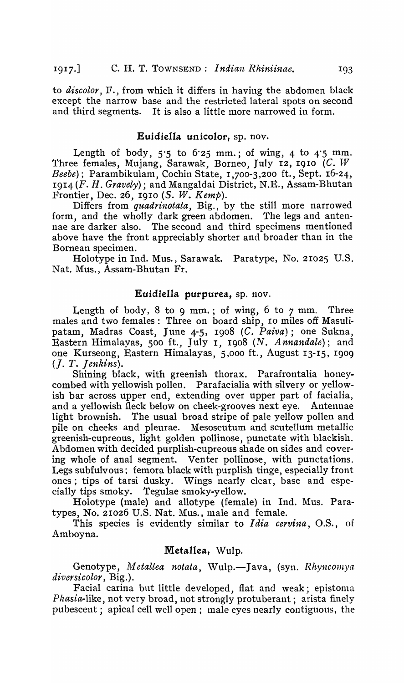to *discolor,* F., from which it differs in having the abdomen black except the narrow base and the restricted lateral spots on second and third segments. It is also a little more narrowed in form.

# Euidiella unicolor, sp. nov.

Length of body,  $5.5$  to  $6.25$  mm.; of wing, 4 to  $4.5$  mm. Three females, Mujang, Sarawak, Borneo, July 12, 1910 (C.  $W$ *Beebe);* Parambikulam, Cochin State, 1,700-3,200 ft., Sept. I6-24, I9I4 *(F. H. Gravely);* and Mangaldai District, N.E., Assam-Bhutan Frontier, Dec. 26, 1910 (S. W. Kemp).

Differs from *quadrinotata,* Big., by the still more narrowed form, and the wholly dark green abdomen. The legs and antennae are darker also. The second and third specimens mentioned above have the front appreciably shorter and broader than in the Bornean specimen.

Holotype in Ind. Mus., Sarawak. Paratype, No. 21025 U.S. Nat. Mus., Assam-Bhutan Fr.

### Euidiella purpurea, sp. nov.

Length of body,  $8$  to  $9$  mm.; of wing,  $6$  to  $7$  mm. Three males and two females: Three on board ship, IO miles off Masulipatam, Madras Coast, June 4-5, I908 *(C. Paiva);* one Sukna, Eastern Himalayas, 500 ft., July 1, 1908 *(N. Annandale)*; and one Kurseong, Eastern Himalayas, 5,000 ft., August 13-15, 1909 *(I. T. I enkins).* 

Shining black, with greenish thorax. Parafrontalia honeycombed with yellowish pollen. Parafacialia with silvery or yellowish bar across upper end, extending over upper part of facialia, and a yellowish fleck below on cheek-grooves next eye. Antennae light brownish. The usual broad stripe of pale yellow pollen and pile on cheeks and pleurae. Mesoscutum and scutellum metallic greenish-cupreous, light golden pollinose, punctate with blackish. Abdomen with decided purplish-cupreous shade on sides and covering whole of anal segment. Venter pollinose, with punctations. Legs subfulvous; femora black with purplish tinge, especially front ones; tips of tarsi dusky. Wings nearly clear, base and especially tips smoky. Tegulae smoky-yellow.

Holotype (male) and allotype (female) in Ind. Mus. Paratypes, No. 2I026 U.S. Nat. Mus., male and female.

This species is evidently similar to *I dia cervina,* O.S., of Amboyna.

# Metallea, Wulp.

Genotype, *Metallea notata*, Wulp.—Java, (syn. *Rhyncomya diversicolor,* Big.).

Facial carina but little developed, flat and weak; epistoma Phasia-like, not very broad, not strongly protuberant; arista finely pubescent; apical cell well open; male eyes nearly contiguous, the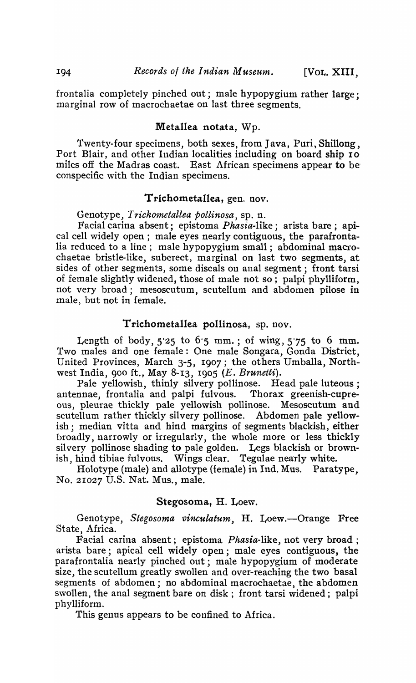frontalia completely pinched out; male hypopygium rather large; marginal row of macrocbaetae on last three segments.

#### Metallea notata, Wp.

Twenty-four specimens, both sexes, from Java, Puri, Shillong, Port Blair, and other Indian localities including on board ship 10 miles off the Madras coast. East African specimens appear to becon specific with the Indian specimens.

# Trichometallea, gen. nov.

Genotype, *TrichometaUea pollinosa,* sp. n.

Facial carina absent; epistoma *Phasia-like*; arista bare; apical cell widely open; male eyes nearly contiguous, the parafrontalia reduced to a line; male hypopygium small; abdominal macrochaetae bristle-like, suberect, marginal on last two segments, at sides of other segments, some discals on anal segment; front tarsi of female slightly widened, those of male not so; palpi phylliform, not very broad; mesoscutum, scutellum and abdomen pilose in male, but not in female.

#### Trichometallea pollinosa, sp. nov.

Length of body,  $5.25$  to  $6.5$  mm.; of wing,  $5.75$  to 6 mm. Two males and one female: One male Songara, Gonda District, United Provinces, March 3-5, I907; the others Umballa, Northwest India, 900 ft., May 8-13, 1905 *(E. Brunetti).* 

Pale yellowish, thinly silvery pollinose. Head pale luteous ; antennae, frontalia and palpi fulvous. Thorax greenish-cupreous, pleurae thickly pale yellowish pollinose. Mesoscutum and scutellum rather thickly silvery pollinose. Abdomen pale yellowish; median vitta and hind margins of segments blackish, either broadly, narrowly or irregularly, the whole more or less thickly silvery pollinose shading to pale golden. Legs blackish or brownish, hind tibiae fulvous. Wings clear. Tegulae nearly white.

Holotype (male) and allotype (female) in Ind. Mus. Paratype, No. 21027 U.S. Nat. Mus., male.

#### Stegosoma, H. Loew.

Genotype, Stegosoma vinculatum, H. Loew.--Orange Free State, Africa.

Facial carina absent; epistoma *Phasia*-like, not very broad; arista bare; apical cell widely open; male eyes contiguous, the parafrontalia nearly pinched out; male hypopygium of moderate size, the scutellum greatly swollen and over-reaching the two basal segments of abdomen; no abdominal macrochaetae, the abdomen swollen, the anal segrnent bare on disk; front tarsi widened; palpi phylliform.

This genus appears to be confined to Africa.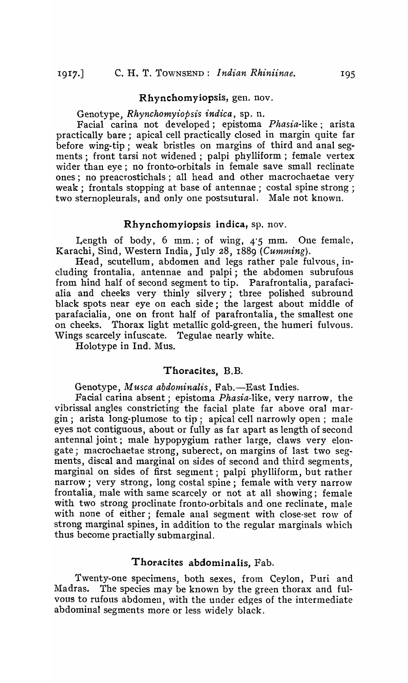#### Rhynchomyiopsis, gen. nov.

# Genotype, *Rhynchomyiopsis indica,* sp. n.

Facial carina not developed; epistoma *Phasia-like*; arista practically bare; apical cell practically closed in margin quite far before wing-tip; weak bristles on margins of third and anal segments; front tarsi not widened; palpi phylliform ; female vertex wider than eye; no fronto-orbitals in female save small reclinate ones; no preacrostichals; all head and other macrochaetae very weak; frontals stopping at base of antennae; costal spine strong; two sternopleurals, and only one postsutural. Male not known.

### Rhynchomyiopsis indica, sp. nov.

Length of body, 6 mm.; of wing, 4'5 mm. One female, Karachi, Sind, Western India, July 28, 1889 *(Cumming).* 

Head, scutellum, abdomen and legs rather pale fulvous, including frontalia, antennae and palpi; the abdomen subrufous from hind half of second segment to tip. Parafrontalia, parafacialia and cheeks very thinly silvery; tbree polished subround black spots near eye on each side; the largest about middle of parafacialia, one on front half of parafrontalia, the smallest one on cheeks. Thorax light metallic gold-green, the humeri fulvous. Wings scarcely infuscate. Tegulae nearly white.

Holotype in Ind. Mus.

#### Thoracites, B.B.

Genotype, *Musca abdominalis,* Fab.-East Indies.

Facial carina absent; epistoma *Phasia-like,* very narrow, the vibrissal angles constricting the facial plate far above oral margin; arista long-plumose to tip; apical cell narrowly open; male eyes not contiguous, about or fully as far apart as length of second antennal joint; male hypopygium rather large, claws very elongate; macrochaetae strong, suberect, on margins of last two segments, discal and marginal on sides of second and third segments, marginal on sides of first segment; palpi phylliform, but rather narrow; very strong, long costal spine; female with very narrow frontalia, male with same scarcely or not at all showing; female with two strong proclinate fronto-orbitals and one reclinate, male with none of either; female anal segment with close-set row of strong marginal spines, in addition to the regular marginals which thus become practially submarginal.

### Thoracites abdominalis, Fab.

Twenty-one specimens, both sexes, from Ceylon, Puri and Ma dras. The species may be known by the green thorax and fulvous to rufous abdomen, with the under edges of the intermediate abdominal segments more or less widely black.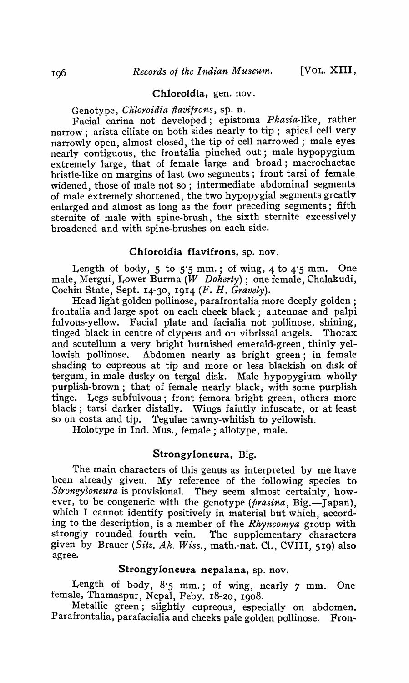#### Chloroidia, gen. nov.

Genotype, *Chloroidia flavifrons,* sp. n.

Facial carina not developed; epistoma *Phasia-like,* rather narrow; arista ciliate on both sides nearly to tip; apical cell very narrowly open, almost closed, the tip of cell narrowed; male eyes nearly contiguous, the frontalia pinched out; male hypopygium extremely large, that of female large and broad; macrochaetae bristle-like on margins of last two segments; front tarsi of female widened, those of male not so; intermediate abdominal segments of male extremely shortened, the two hypopygial segments greatly enlarged and almost as long as the four preceding segments; fifth sternite of male with spine-brush, the sixth sternite excessively broadened and with spine-brushes on each side.

# Chloroidia flavifrons, sp. nov.

Length of body,  $5$  to  $5.5$  mm.; of wing,  $4$  to  $4.5$  mm. One male, Mergui, Lower Burma (W *Doherty);* one female, Chalakudi, Cochin State, Sept. 14-30, 1914 (F. H. *Gravely).* 

Head light golden pollinose, parafrontalia more deeply golden; frontalia and large spot on each cheek black; antennae and palpi fulvous-yellow. Facial plate and facialia not pollinose, shining, tinged black in centre of clypeus and on vibrissal angels. Thorax and scutellum a very bright burnished emerald-green, thinly yellowish pollinose. Abdomen nearly as bright green; in female shading to cupreous at tip and more or less blackish on disk of tergum, in male dusky on tergal disk. Male hypopygium wholly purplish-brown; that of female nearly black, with some purplish tinge. Legs subfulvous; front femora bright green, others more black; tarsi darker distally. Wings faintly infuscate, or at least so on costa and tip. Tegulae tawny-whitish to yellowish.

Holotype in Ind. Mus., female; allotype, male.

# Strongyloneura, Big.

The main characters of this genus as interpreted by me have been already given. My reference of the following species to *Strongyloneura* is provisional. They seem almost certainly, however, to be congeneric with the genotype (*prasina*, Big.-Japan), which I cannot identify positively in material but which, according to the description, is a member of the *Rhyncomya* group with strongly rounded fourth vein. The supplementary characters given by Brauer *(Sitz. Ak. Wiss.,* math.-nat. Cl., eVIII, 5I9) also agree.

# Strongyloneura nepalana, sp. nov.

Length of body,  $8.5 \text{ mm}$ ; of wing, nearly  $7 \text{ mm}$ . One female, Thamaspur, Nepal, Feby. 18-20, 1908.

Metallic green; slightly cupreous, especially on abdomen. Parafrontalia, parafacialia and cheeks pale golden pollinose. Fron-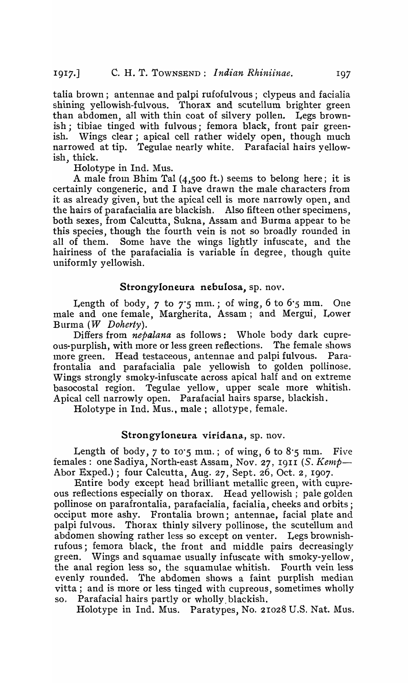talia brown; antennae and palpi rufofulvous; clypeus and facialia shining yellowish-fulvous. Thorax and scutellum brighter green than abdomen, all with thin coat of silvery pollen. Legs brownish; tibiae tinged with fulvous; femora black, front pair greenish. Wings clear; apical cell rather widely open, though much narrowed at tip. Tegulae nearly white. Parafacial hairs yellowish, thick.

Holotype in Ind. Mus.

A male from Bhim Tal  $(4,500 \text{ ft.})$  seems to belong here; it is certainly congeneric, and I have drawn the male characters from it as already given, but the apical cell is more narrowly open, and the hairs of parafacialia are blackish. Also fifteen other specimens, both sexes, from Calcutta, Sukna, Assam and Burma appear to be this species, though the fourth vein is not so broadly rounded in all of them. Some have the wings lightly infuscate, and the hairiness of the parafacialia is variable in degree, though quite uniformly yellowish.

# Strongyloneura nebulosa, sp. nov.

Length of body,  $7$  to  $7.5$  mm.; of wing,  $6$  to  $6.5$  mm. One male and one female, Margherita, Assam; and Mergui, Lower Burma *(W Doherty).* 

Differs from *nepalana* as follows: Whole body dark cupreous-purplish, with more or less green reflections. The female shows more green. Head testaceous, antennae and palpi fulvous. Parafrontalia and parafacialia pale yellowish to golden pollinose. 'Wings strongly smoky-infuscate across apical half and on extreme basocostal region. Tegulae yellow, upper scale more whitish. Apical cell narrowly open. Parafacial hairs sparse, blackish.

Holotype in Ind. Mus., male; allotype, female.

# Strongyloneura viridana, sp. nov.

Length of body, 7 to 10.5 mm.; of wing, 6 to 8.5 mm. Five females: one Sadiya, North-east Assam, Nov. 27, 1911 (S. Kemp-Abor Exped.); four Calcutta, Aug. 27, Sept. 26, Oct. 2, 1907.

Entire body except head brilliant metallic green, with cupreous reflections especially on thorax. Head yellowish; pale golden pollinose on parafrontalia, parafacialia, facialia, cheeks and orbits; occiput more ashy. Frontalia brown; antennae, facial plate and palpi fulvous. Thorax thinly silvery pollinose, the scutellum and abdomen showing rather less so except on venter. Legs brownishrufous; femora black, the front and middle pairs decreasingly green. Wings and squamae usually infuscate with smoky-yellow, the anal region less so, the squamulae whitish. Fourth vein less evenly roundeQ. The abdomen shows a faint purplish median vitta; and is more or less tinged with cupreous, sometimes wholly so. Parafacial hairs partly or wholly. blackish.

Holotype in Ind. Mus. Paratypes, No. 21028 U.S. Nat. Mus.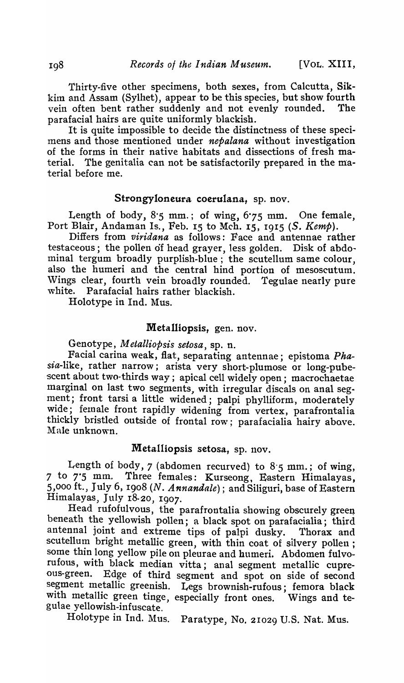Thirty-five other specimens, both sexes, from Calcutta, Sikkim and Assam (Sylhet), appear to be this species, but show fourth vein often bent rather suddenly and not evenly rounded. The vein often bent rather suddenly and not evenly rounded. parafacial hairs are quite uniformly blackish.

It is quite impossible to decide the distinctness of these specimens and those mentioned under *nepalana* \vithout investigation of the forms in their native habitats and dissections of fresh material. The genitalia can not be satisfactorily prepared in the material before me.

### Strongyloneura coerulana, sp. nov.

Length of body,  $8.5$  mm.; of wing,  $6.75$  mm. One female, Port Blair, Andaman Is., Feb. 15 to Mch. 15, 19I5 (S. *Kemp).* 

Differs from *viridana* as follows: Face and antennae rather testaceous; the pollen of head grayer, less golden. Disk of abdo· minal tergum broadly purplish-blue; the scutellum same colour, also the humeri and the central hind portion of mesoscutum. Wings clear, fourth vein broadly rounded. Tegulae nearly pure white. Parafacial hairs rather blackish.

Holotype in Ind. Mus.

#### Metalliopsis, gen. nov.

Genotype, *Metalliopsis setosa,* sp. n.

Facial carina weak, flat, separating antennae; epistoma *Pha*sia-like, rather narrow; arista very short-plumose or long-pubescent about two-thirds way; apical cell widely open; macrochaetae marginal on last two segments, with irregular discals on anal segment; front tarsi a little widened; palpi phylliform, moderately wide; fernale front rapidly widening from vertex, parafrontalia thickly bristled outside of frontal row; parafacialia hairy above. Male unknown.

# Metalliopsis setosa, sp. nov.

Length of body,  $\gamma$  (abdomen recurved) to 8.5 mm.; of wing, 7 to 7·5 mm. Three females: Kurseong, Eastern Himalayas, 5,000 ft., July 6, I908 *(N. Annandale);* and Siliguri, base of Eastern Himalayas, July 18-20, 1907.

Head rufofulvous, the parafrontalia showing obscurely green beneath the yellowish pollen; a black spot on parafacialia; third antennal joint and extreme tips of palpi dusky. Thorax and scutellum bright metallic green, with thin coat of silvery pollen; some thin long yellow pile on pleurae and humeri. Abdomen fulvorufous, with black median vitta; anal segment metallic cupre-<br>ous-green. Edge of third segment and spot on side of second Edge of third segment and spot on side of second segment metallic greenish. Legs brownish-rufous; femora black with metallic green tinge, especially front ones. Wings and tegulae yellowish-infuscate.

Holotype in Ind. Mus. Paratype, No. 2I029 U.S. Nat. Mus.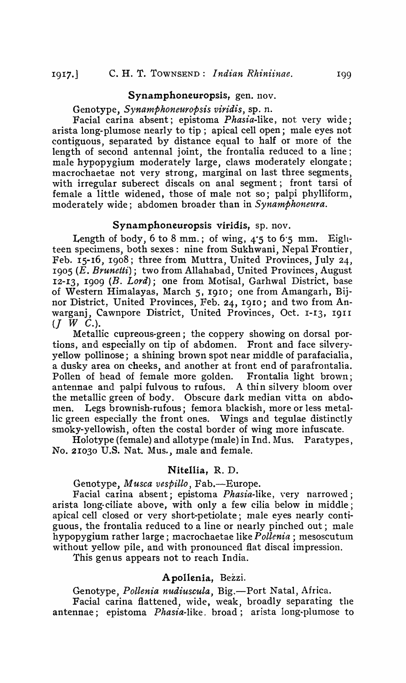# Synamphoneuropsis, gen. nov.

Genotype, *S'Ynamphoneuropsis viridis,* sp. n.

Facial carina absent; epistoma *Phasia-like,* not very wide; arista long-plumose nearly to tip; apical cell open; male eyes not contiguous, separated by distance equal to half or more of the length of second antennal joint, the frontalia reduced to a line; male hypopygium moderately large, claws moderately elongate; macrochaetae not very strong, marginal on last three segments, with irregular suberect discals on anal segment; front tarsi of female a little widened, those of male not so; palpi phylliform., moderately wide; abdomen broader than in *Synamphoneura.* 

#### Synamphoneuropsis viridis, sp. nov.

Length of body,  $6$  to  $8$  mm.; of wing,  $4.5$  to  $6.5$  mm. Eighteen specimens, both sexes: nine from Sukhwani, Nepal Frontier, Feb. 15-16, 1908; three from Muttra, United Provinces, July 24, *1905 (E. Brunetti);* two from Allahabad, United Provinces, August 12-13, 1909 (B. *Lord);* one from Motisal, Garhwal District, base of Western Himalayas, March 5, 1910; one from Amangarh, Bijnor District, United Provinces, Feb. 24, 1910; and two from Anwarganj, Cawnpore District, United Provinces, Oct. 1-13, 19I1  $(J \ \ W \ \ C.).$ 

Metallic cupreous-green; the coppery showing on dorsal portions, and especially on tip of abdomen. Front and face silveryyellow pollinose; a shining brown spot near middle of parafacialia, a dusky area on cheeks, and another at front end of parafrontalia. Pollen of head of female more golden. antennae and palpi fulvous to rufous. A thin silvery bloom over the metallic green of body. Obscure dark median vitta on abdomen. Legs brownish-rufous; femora blackish, more or less metallic green especially the front ones. Wings and tegulae distinctly smoky-yellowish, often the costal border of wing more infuscate.

Holotype (female) and allotype (male) in Ind. Mus. Paratypes, No. 2I030 U.S. Nat. Mus., male and female.

#### Nitellia, R. D.

Genotype, *Musca vespillo,* Fab.-Europe.

Facial carina absent; epistoma Phasia-like, very narrowed; arista long-ciliate above, with only a few cilia below in middle; apical cell closed or very short-petiolate; male eyes nearly contiguous, the frontalia reduced to a line or nearly pinched out; male hypopygium rather large; macrochaetae like *Pollenia*; mesoscutum without yellow pile, and with pronounced flat discal impression.

This genus appears not to reach India.

# A pollenia, Bezzi.

Genotype, *Pollenia nudiuscula*, Big.-Port Natal, Africa.

Facial carina flattened, wide, weak, broadly separating the antennae; epistoma *Phasia-like.* broad; arista long-plumose to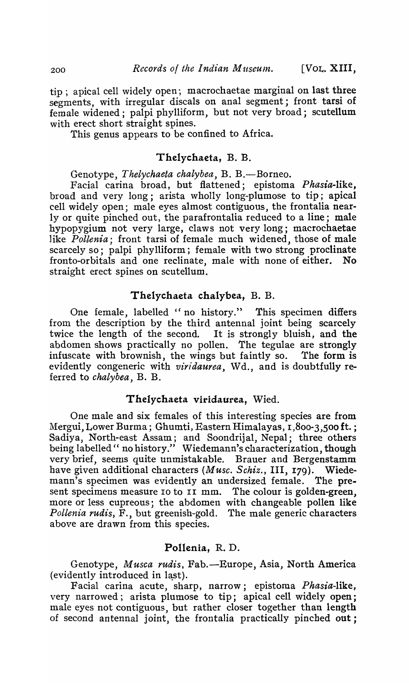tip; apical cell widely open; macrochaetae marginal on last three segments, with irregular discals on anal segment; front tarsi of female widened; palpi phylliform, but not very broad; scutellum with erect short straight spines.

This genus appears to be confined to Africa.

#### Thelychaeta, B. B.

# Genotype, *Thelychaeta chalybea,* B. B.-Borneo.

Facial carina broad, but flattened; epistoma *Phasia-like,*  broad and very long; arista wholly long-plumose to tip; apical cell widely open; male eyes almost contiguous, the frontalia nearly or quite pinched out, the parafrontalia reduced to a line; male hypopygium not very large, claws not very long; macrochaetae like *Pollenia*; front tarsi of female much widened, those of male scarcely so; palpi phylliform; female with two strong proclinate fronto-orbitals and one reclinate, male with none of either. No straight erect spines on scutellum.

# Thelychaeta chalybea, B. B.

One female, labelled "no history." This specimen differs from the description by the third antennal joint being scarcely twice the length of the second. It is strongly bluish, and the abdomen shows practically no pollen. The tegulae are strongly infuscate with brownish, the wings but faintly so. The form is evidently congeneric with *viridaurea*, Wd., and is doubtfully referred to *chalybea,* B. B.

# Thelychaeta viridaurea, Wied.

One male and six females of this interesting species are from Mergui, Lower Burma; Ghumti, Eastern Himalayas, 1,800-3,500 ft.; Sadiya, North-east Assam; and Soondrijal, Nepal; three others being labelled" no history." Wiedemann's characterization, though very brief, seems quite unmistakable. Brauer and Bergenstamm have given additional characters *(Musc. Schiz., III, 179)*. Wiedemann's specimen was evidently an undersized female. The present specimens measure 10 to 11 mm. The colour is golden-green, more or less cupreous; the abdomen with changeable pollen like *Pollenia rudis,* F., but greenish-gold. The male generic characters above are drawn from this species.

### Pollenia, R. D.

Genotype, *Musca rudis*, Fab.-Europe, Asia, North America (evidently introduced in last).

Facial carina acute, sharp, narrow; epistoma *Phasia-like*, very narrowed; arista plumose to tip; apical cell widely open; male eyes not contiguous, but rather closer together than length of second antennal joint, the frontalia practically pinched out;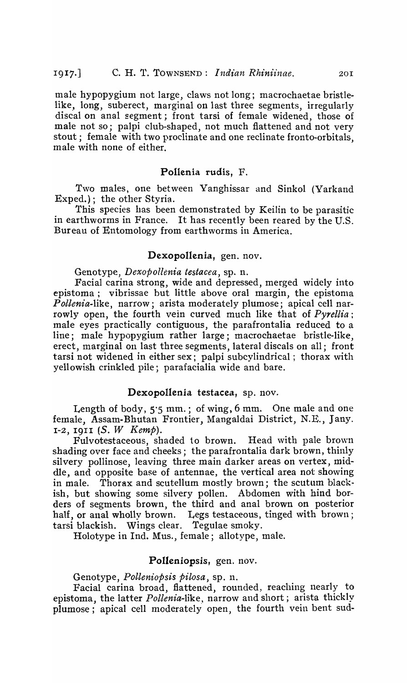male hypopygium not large, claws not long; macrochaetae bristlelike, long, suberect, marginal on last three segments, irregularly discal on anal segment; front tarsi of female widened, those of male not so; palpi club-shaped, not much flattened and not very stout; female with two proclinate and one reclinate fronto-orbitals, male with none of either.

# Pollenia rudis, F.

Two males, one between Yanghissar and Sinkol (Yarkand Exped.); the other Styria.

This species has been demonstrated by Keilin to be parasitic in earthworms in France. It has recently been reared by the U.S. Bureau of Entomology from earthworms in America.

# Dexopollenia, gen. nov.

Genotype, *Dexopollenia testacea,* sp. n.

Facial carina strong, wide and depressed, merged widely into epistoma; vibrissae but little above oral margin, the epistoma *Pollenia-like,* narrow; arista moderately plumose; apical cell narrowly open, the fourth vein curved much like that of *Pyrellia ;*  male eyes practically contiguous, the parafrontalia reduced to a line; male hypopygium rather large; macrochaetae bristle-like, erect, marginal on last three segments, lateral discals on all; front tarsi not widened in either sex; palpi subcylindrical; thorax with yellowish crinkled pile; parafacialia \vide and bare.

# Dexopollenia testacea, sp. nov.

Length of body, 5'5 mm.; of wing, 6 mm. One male and one female, Assam-Bhutan Frontier, Mangaldai District, N.E., Jany. 1-2, 1911 (5. W *Kemp).* 

Fulvotestaceous, shaded to brown. Head with pale brown shading over face and cheeks; the parafrontalia dark brown, thinly silvery pollinose, leaving three main darker areas on vertex, middle, and opposite base of antennae, the vertical area not showing in male. Thorax and scutellum tnostly brown; the scutum blackish, but showing some silvery pollen. Abdomen with hind borders of segments brown, the third and anal brown on posterior half, or anal wholly brown. Legs testaceous, tinged with brown; tarsi blackish. Wings clear. Tegulae smoky.

Holotype in Ind. Mus., female; allotype, male.

# Polleniopsis, gen. nov.

Genotype, *Polleniopsis pilosa*, sp. n.

Facial carina broad, flattened, rounded, reaching nearly to epistoma, the latter *Pollenia*-like, narrow and short; arista thickly plumose; apical cell moderately open, the fourth vein bent sud-